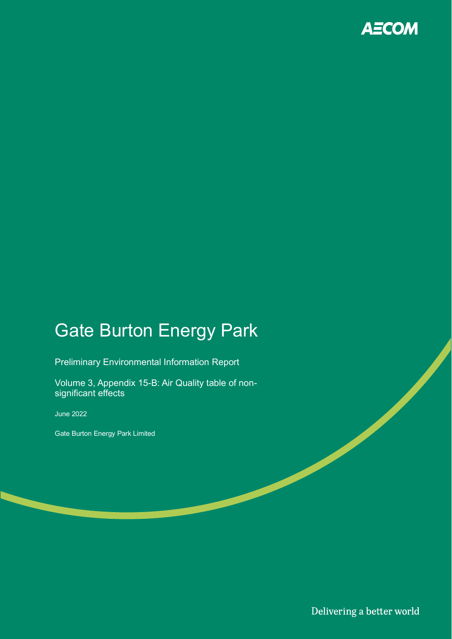

# Gate Burton Energy Park

Preliminary Environmental Information Report

Volume 3, Appendix 15-B: Air Quality table of nonsignificant effects

June 2022

Gate Burton Energy Park Limited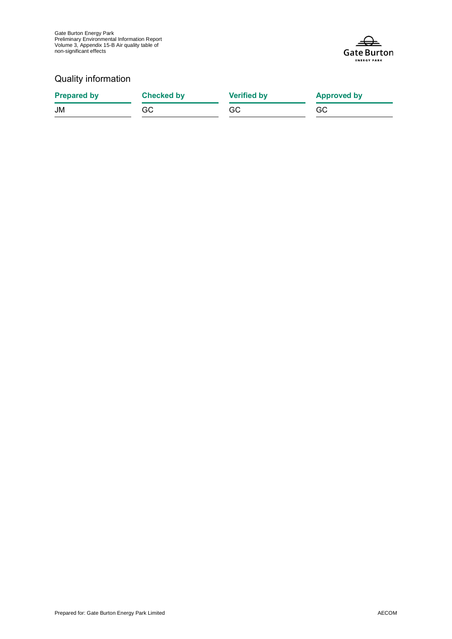

#### Quality information

| <b>Prepared by</b> | <b>Checked by</b> | <b>Verified by</b> | <b>Approved by</b> |
|--------------------|-------------------|--------------------|--------------------|
| JM                 | GC                | GC                 | GC.                |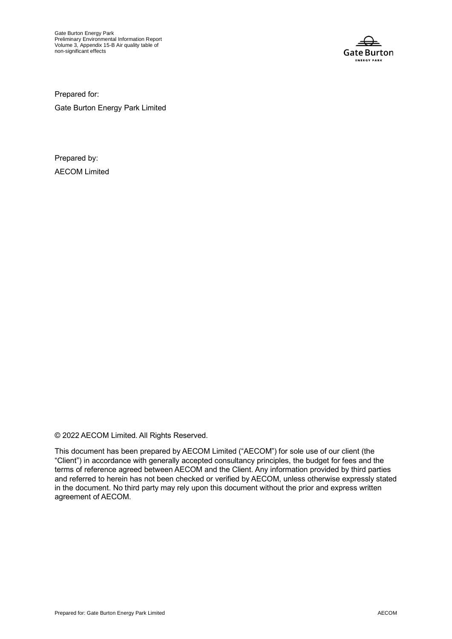Gate Burton Energy Park Preliminary Environmental Information Report Volume 3, Appendix 15-B Air quality table of non-significant effects



Prepared for:

Gate Burton Energy Park Limited

Prepared by: AECOM Limited

© 2022 AECOM Limited. All Rights Reserved.

This document has been prepared by AECOM Limited ("AECOM") for sole use of our client (the "Client") in accordance with generally accepted consultancy principles, the budget for fees and the terms of reference agreed between AECOM and the Client. Any information provided by third parties and referred to herein has not been checked or verified by AECOM, unless otherwise expressly stated in the document. No third party may rely upon this document without the prior and express written agreement of AECOM.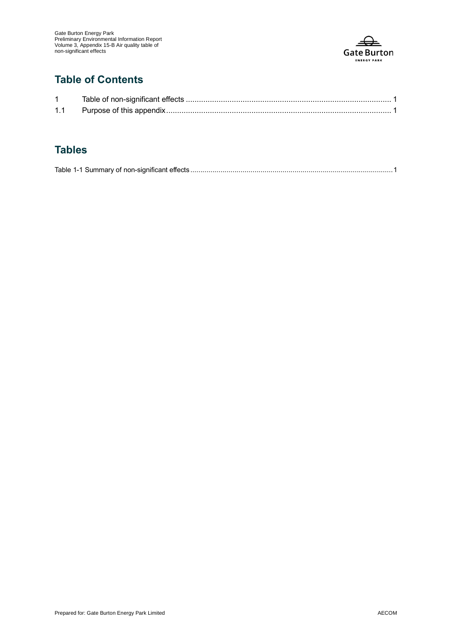

### **Table of Contents**

| 1.1 |  |
|-----|--|

#### **Tables**